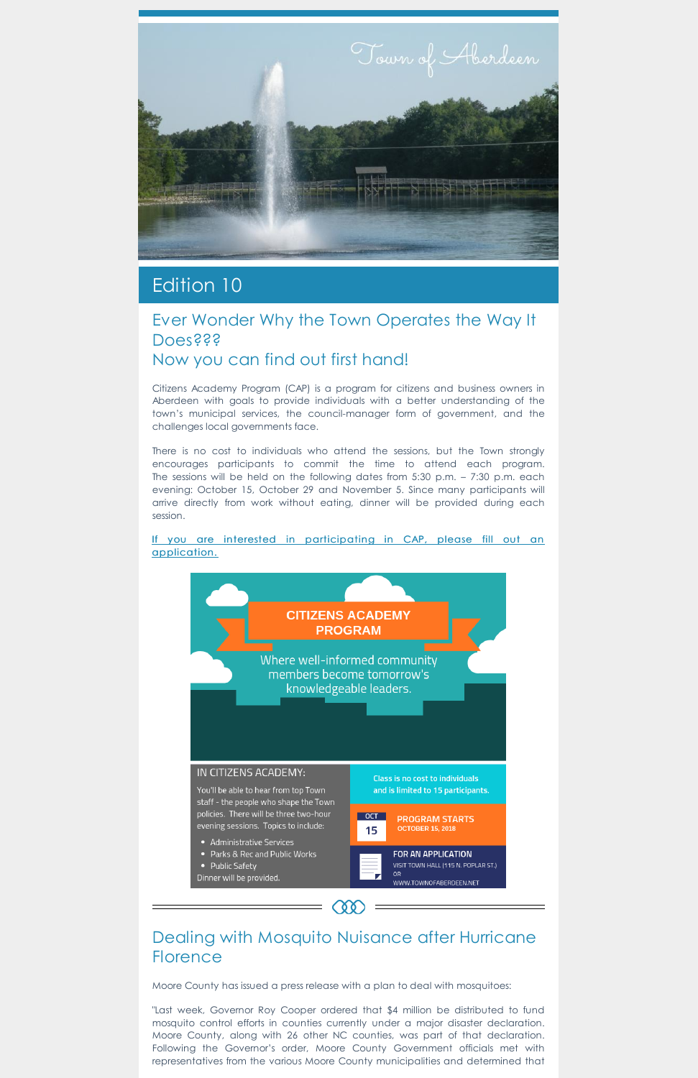

# Edition 10

### Ever Wonder Why the Town Operates the Way It **Does???** Now you can find out first hand!

Citizens Academy Program (CAP) is a program for citizens and business owners in Aberdeen with goals to provide individuals with a better understanding of the town's municipal services, the council-manager form of government, and the challenges local governments face.

## Dealing with Mosquito Nuisance after Hurricane **Florence**

**CQQ** 

There is no cost to individuals who attend the sessions, but the Town strongly encourages participants to commit the time to attend each program. The sessions will be held on the following dates from 5:30 p.m. – 7:30 p.m. each evening: October 15, October 29 and November 5. Since many participants will arrive directly from work without eating, dinner will be provided during each session.

If you are interested in [participating](https://www.townofaberdeen.net/newsview.aspx?nid=5885) in CAP, please fill out an application.



- 
- 
- 

Moore County has issued a press release with a plan to deal with mosquitoes:

"Last week, Governor Roy Cooper ordered that \$4 million be distributed to fund mosquito control efforts in counties currently under a major disaster declaration. Moore County, along with 26 other NC counties, was part of that declaration. Following the Governor's order, Moore County Government officials met with representatives from the various Moore County municipalities and determined that